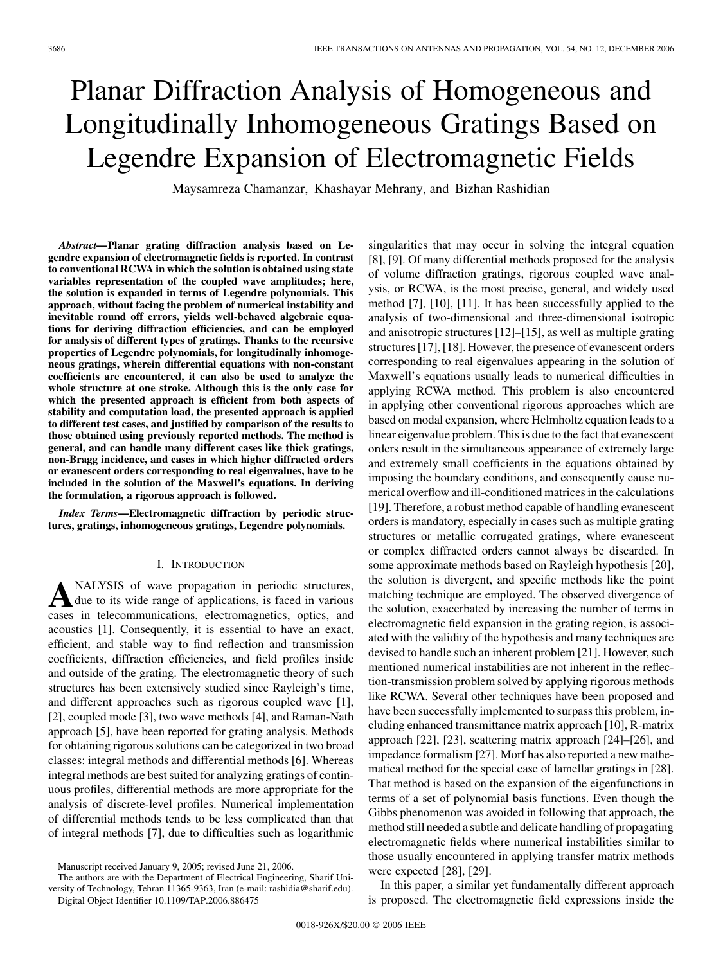singularities that may occur in solving the integral equation [8], [9]. Of many differential methods proposed for the analysis of volume diffraction gratings, rigorous coupled wave analysis, or RCWA, is the most precise, general, and widely used method [7], [10], [11]. It has been successfully applied to the analysis of two-dimensional and three-dimensional isotropic and anisotropic structures [12]–[15], as well as multiple grating structures [17], [18]. However, the presence of evanescent orders corresponding to real eigenvalues appearing in the solution of Maxwell's equations usually leads to numerical difficulties in applying RCWA method. This problem is also encountered in applying other conventional rigorous approaches which are based on modal expansion, where Helmholtz equation leads to a linear eigenvalue problem. This is due to the fact that evanescent orders result in the simultaneous appearance of extremely large and extremely small coefficients in the equations obtained by imposing the boundary conditions, and consequently cause nu-

# Planar Diffraction Analysis of Homogeneous and Longitudinally Inhomogeneous Gratings Based on Legendre Expansion of Electromagnetic Fields

Maysamreza Chamanzar, Khashayar Mehrany, and Bizhan Rashidian

*Abstract—***Planar grating diffraction analysis based on Legendre expansion of electromagnetic fields is reported. In contrast to conventional RCWA in which the solution is obtained using state variables representation of the coupled wave amplitudes; here, the solution is expanded in terms of Legendre polynomials. This approach, without facing the problem of numerical instability and inevitable round off errors, yields well-behaved algebraic equations for deriving diffraction efficiencies, and can be employed for analysis of different types of gratings. Thanks to the recursive properties of Legendre polynomials, for longitudinally inhomogeneous gratings, wherein differential equations with non-constant coefficients are encountered, it can also be used to analyze the whole structure at one stroke. Although this is the only case for which the presented approach is efficient from both aspects of stability and computation load, the presented approach is applied to different test cases, and justified by comparison of the results to those obtained using previously reported methods. The method is general, and can handle many different cases like thick gratings, non-Bragg incidence, and cases in which higher diffracted orders or evanescent orders corresponding to real eigenvalues, have to be included in the solution of the Maxwell's equations. In deriving the formulation, a rigorous approach is followed.**

*Index Terms—***Electromagnetic diffraction by periodic structures, gratings, inhomogeneous gratings, Legendre polynomials.**

#### I. INTRODUCTION

ANALYSIS of wave propagation in periodic structures,<br>due to its wide range of applications, is faced in various cases in telecommunications, electromagnetics, optics, and acoustics [1]. Consequently, it is essential to have an exact, efficient, and stable way to find reflection and transmission coefficients, diffraction efficiencies, and field profiles inside and outside of the grating. The electromagnetic theory of such structures has been extensively studied since Rayleigh's time, and different approaches such as rigorous coupled wave [1], [2], coupled mode [3], two wave methods [4], and Raman-Nath approach [5], have been reported for grating analysis. Methods for obtaining rigorous solutions can be categorized in two broad classes: integral methods and differential methods [6]. Whereas integral methods are best suited for analyzing gratings of continuous profiles, differential methods are more appropriate for the analysis of discrete-level profiles. Numerical implementation of differential methods tends to be less complicated than that of integral methods [7], due to difficulties such as logarithmic

merical overflow and ill-conditioned matrices in the calculations [19]. Therefore, a robust method capable of handling evanescent orders is mandatory, especially in cases such as multiple grating structures or metallic corrugated gratings, where evanescent or complex diffracted orders cannot always be discarded. In some approximate methods based on Rayleigh hypothesis [20], the solution is divergent, and specific methods like the point matching technique are employed. The observed divergence of the solution, exacerbated by increasing the number of terms in electromagnetic field expansion in the grating region, is associated with the validity of the hypothesis and many techniques are devised to handle such an inherent problem [21]. However, such mentioned numerical instabilities are not inherent in the reflection-transmission problem solved by applying rigorous methods like RCWA. Several other techniques have been proposed and have been successfully implemented to surpass this problem, including enhanced transmittance matrix approach [10], R-matrix approach [22], [23], scattering matrix approach [24]–[26], and impedance formalism [27]. Morf has also reported a new mathematical method for the special case of lamellar gratings in [28]. That method is based on the expansion of the eigenfunctions in terms of a set of polynomial basis functions. Even though the Gibbs phenomenon was avoided in following that approach, the method still needed a subtle and delicate handling of propagating electromagnetic fields where numerical instabilities similar to those usually encountered in applying transfer matrix methods were expected [28], [29].

In this paper, a similar yet fundamentally different approach is proposed. The electromagnetic field expressions inside the

Manuscript received January 9, 2005; revised June 21, 2006.

The authors are with the Department of Electrical Engineering, Sharif University of Technology, Tehran 11365-9363, Iran (e-mail: rashidia@sharif.edu). Digital Object Identifier 10.1109/TAP.2006.886475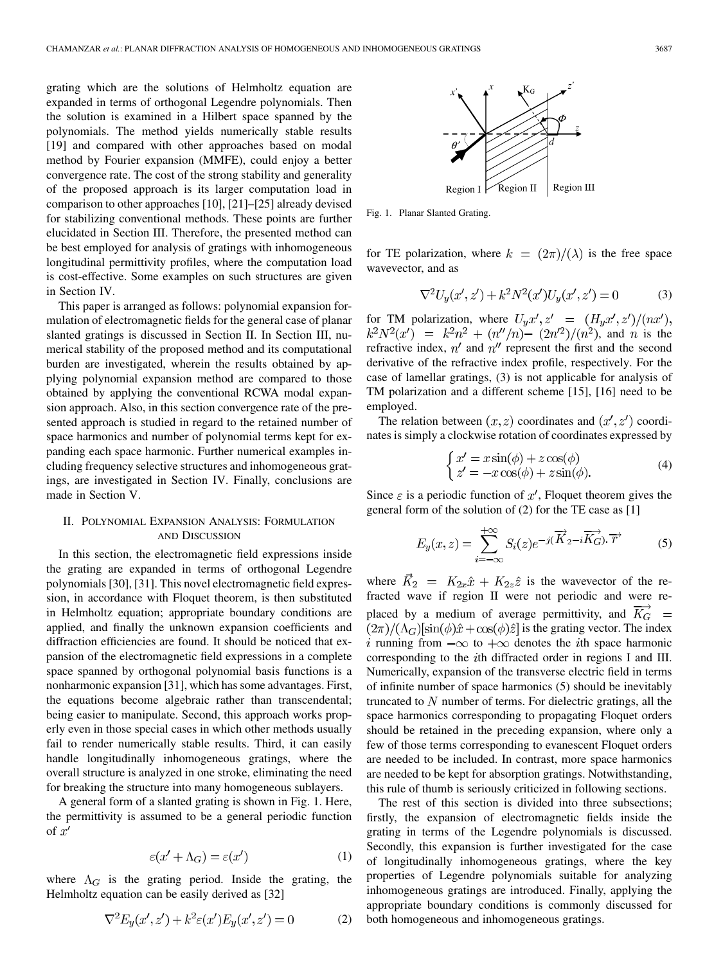grating which are the solutions of Helmholtz equation are expanded in terms of orthogonal Legendre polynomials. Then the solution is examined in a Hilbert space spanned by the polynomials. The method yields numerically stable results [19] and compared with other approaches based on modal method by Fourier expansion (MMFE), could enjoy a better convergence rate. The cost of the strong stability and generality of the proposed approach is its larger computation load in comparison to other approaches [10], [21]–[25] already devised for stabilizing conventional methods. These points are further elucidated in Section III. Therefore, the presented method can be best employed for analysis of gratings with inhomogeneous longitudinal permittivity profiles, where the computation load is cost-effective. Some examples on such structures are given in Section IV.

This paper is arranged as follows: polynomial expansion formulation of electromagnetic fields for the general case of planar slanted gratings is discussed in Section II. In Section III, numerical stability of the proposed method and its computational burden are investigated, wherein the results obtained by applying polynomial expansion method are compared to those obtained by applying the conventional RCWA modal expansion approach. Also, in this section convergence rate of the presented approach is studied in regard to the retained number of space harmonics and number of polynomial terms kept for expanding each space harmonic. Further numerical examples including frequency selective structures and inhomogeneous gratings, are investigated in Section IV. Finally, conclusions are made in Section V.

# II. POLYNOMIAL EXPANSION ANALYSIS: FORMULATION AND DISCUSSION

In this section, the electromagnetic field expressions inside the grating are expanded in terms of orthogonal Legendre polynomials [30], [31]. This novel electromagnetic field expression, in accordance with Floquet theorem, is then substituted in Helmholtz equation; appropriate boundary conditions are applied, and finally the unknown expansion coefficients and diffraction efficiencies are found. It should be noticed that expansion of the electromagnetic field expressions in a complete space spanned by orthogonal polynomial basis functions is a nonharmonic expansion [31], which has some advantages. First, the equations become algebraic rather than transcendental; being easier to manipulate. Second, this approach works properly even in those special cases in which other methods usually fail to render numerically stable results. Third, it can easily handle longitudinally inhomogeneous gratings, where the overall structure is analyzed in one stroke, eliminating the need for breaking the structure into many homogeneous sublayers.

A general form of a slanted grating is shown in Fig. 1. Here, the permittivity is assumed to be a general periodic function of  $x'$ 

$$
\varepsilon(x' + \Lambda_G) = \varepsilon(x')
$$
 (1)

where  $\Lambda_G$  is the grating period. Inside the grating, the Helmholtz equation can be easily derived as [32]

$$
\nabla^2 E_y(x', z') + k^2 \varepsilon(x') E_y(x', z') = 0 \tag{2}
$$



Fig. 1. Planar Slanted Grating.

for TE polarization, where  $k = (2\pi)/(\lambda)$  is the free space wavevector, and as

$$
\nabla^2 U_y(x', z') + k^2 N^2(x') U_y(x', z') = 0 \tag{3}
$$

for TM polarization, where , and  $n$  is the refractive index,  $n'$  and  $n''$  represent the first and the second derivative of the refractive index profile, respectively. For the case of lamellar gratings, (3) is not applicable for analysis of TM polarization and a different scheme [15], [16] need to be employed.

The relation between  $(x, z)$  coordinates and  $(x', z')$  coordinates is simply a clockwise rotation of coordinates expressed by

$$
\begin{cases}\nx' = x \sin(\phi) + z \cos(\phi) \\
z' = -x \cos(\phi) + z \sin(\phi).\n\end{cases} (4)
$$

Since  $\varepsilon$  is a periodic function of  $x'$ , Floquet theorem gives the general form of the solution of (2) for the TE case as [1]

$$
E_y(x,z) = \sum_{i=-\infty}^{+\infty} S_i(z)e^{-j(\overrightarrow{K}_2 - i\overrightarrow{K}_G).\overrightarrow{r}} \tag{5}
$$

where  $K_2 = K_{2x}\hat{x} + K_{2z}\hat{z}$  is the wavevector of the refracted wave if region II were not periodic and were replaced by a medium of average permittivity, and  $\overrightarrow{K_G}$  =  $(2\pi)/(\Lambda_G)$ [sin $(\phi)\hat{x} + \cos(\phi)\hat{z}$ ] is the grating vector. The index i running from  $-\infty$  to  $+\infty$  denotes the *i*th space harmonic corresponding to the  $i$ th diffracted order in regions I and III. Numerically, expansion of the transverse electric field in terms of infinite number of space harmonics (5) should be inevitably truncated to  $N$  number of terms. For dielectric gratings, all the space harmonics corresponding to propagating Floquet orders should be retained in the preceding expansion, where only a few of those terms corresponding to evanescent Floquet orders are needed to be included. In contrast, more space harmonics are needed to be kept for absorption gratings. Notwithstanding, this rule of thumb is seriously criticized in following sections.

The rest of this section is divided into three subsections; firstly, the expansion of electromagnetic fields inside the grating in terms of the Legendre polynomials is discussed. Secondly, this expansion is further investigated for the case of longitudinally inhomogeneous gratings, where the key properties of Legendre polynomials suitable for analyzing inhomogeneous gratings are introduced. Finally, applying the appropriate boundary conditions is commonly discussed for both homogeneous and inhomogeneous gratings.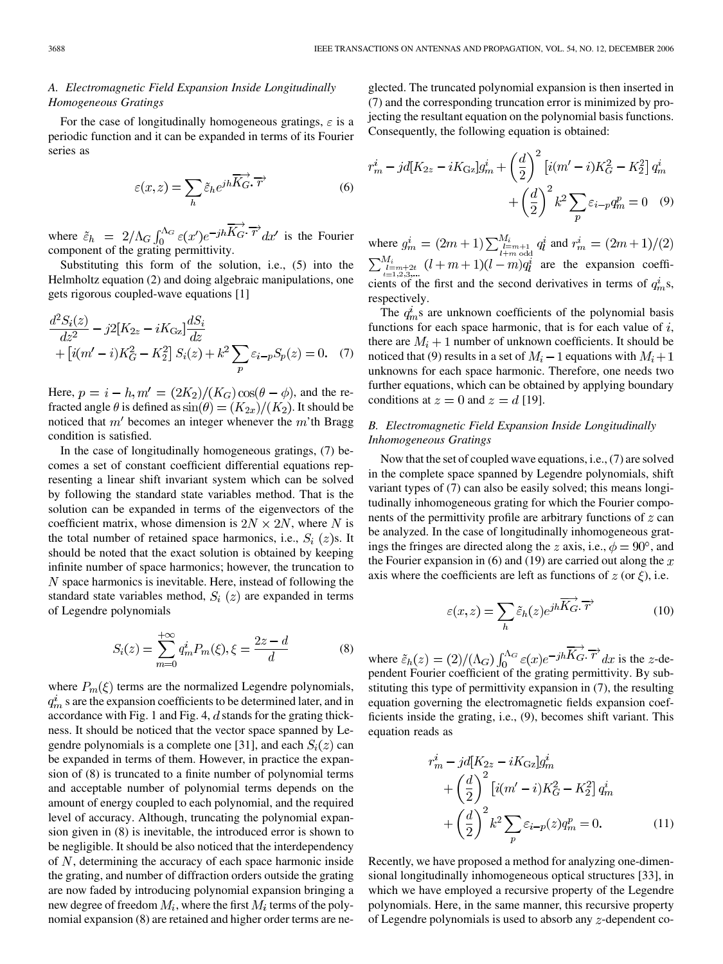## *A. Electromagnetic Field Expansion Inside Longitudinally Homogeneous Gratings*

For the case of longitudinally homogeneous gratings,  $\varepsilon$  is a periodic function and it can be expanded in terms of its Fourier series as

$$
\varepsilon(x,z) = \sum_{h} \tilde{\varepsilon}_{h} e^{jh \overrightarrow{K_{G}} \cdot \overrightarrow{r}}
$$
 (6)

where  $\tilde{\varepsilon}_h = 2/\Lambda_G \int_0^{\Lambda_G} \varepsilon(x') e^{-jh} \overrightarrow{K_G} \cdot \overrightarrow{r} dx'$  is the Fourier component of the grating permittivity.

Substituting this form of the solution, i.e., (5) into the Helmholtz equation (2) and doing algebraic manipulations, one gets rigorous coupled-wave equations [1]

$$
\frac{d^2S_i(z)}{dz^2} - j2[K_{2z} - iK_{\text{Gz}}] \frac{dS_i}{dz} \n+ [i(m'-i)K_G^2 - K_2^2] S_i(z) + k^2 \sum_p \varepsilon_{i-p} S_p(z) = 0.
$$
 (7)

Here,  $p = i - h, m' = \frac{2K_2}{K_G} \cos(\theta - \phi)$ , and the refracted angle  $\theta$  is defined as  $\sin(\theta) = (K_{2x})/(K_2)$ . It should be noticed that  $m'$  becomes an integer whenever the  $m'$ th Bragg condition is satisfied.

In the case of longitudinally homogeneous gratings, (7) becomes a set of constant coefficient differential equations representing a linear shift invariant system which can be solved by following the standard state variables method. That is the solution can be expanded in terms of the eigenvectors of the coefficient matrix, whose dimension is  $2N \times 2N$ , where N is the total number of retained space harmonics, i.e.,  $S_i(z)$ s. It should be noted that the exact solution is obtained by keeping infinite number of space harmonics; however, the truncation to  $N$  space harmonics is inevitable. Here, instead of following the standard state variables method,  $S_i(z)$  are expanded in terms of Legendre polynomials

$$
S_i(z) = \sum_{m=0}^{+\infty} q_m^i P_m(\xi), \xi = \frac{2z - d}{d} \tag{8}
$$

where  $P_m(\xi)$  terms are the normalized Legendre polynomials,  $q_m^i$  s are the expansion coefficients to be determined later, and in accordance with Fig. 1 and Fig. 4,  $d$  stands for the grating thickness. It should be noticed that the vector space spanned by Legendre polynomials is a complete one [31], and each  $S_i(z)$  can be expanded in terms of them. However, in practice the expansion of (8) is truncated to a finite number of polynomial terms and acceptable number of polynomial terms depends on the amount of energy coupled to each polynomial, and the required level of accuracy. Although, truncating the polynomial expansion given in (8) is inevitable, the introduced error is shown to be negligible. It should be also noticed that the interdependency of  $N$ , determining the accuracy of each space harmonic inside the grating, and number of diffraction orders outside the grating are now faded by introducing polynomial expansion bringing a new degree of freedom  $M_i$ , where the first  $M_i$  terms of the polynomial expansion (8) are retained and higher order terms are ne-

glected. The truncated polynomial expansion is then inserted in (7) and the corresponding truncation error is minimized by projecting the resultant equation on the polynomial basis functions. Consequently, the following equation is obtained:

$$
r_m^i - jd[K_{2z} - iK_{\text{Gz}}]g_m^i + \left(\frac{d}{2}\right)^2 \left[i(m'-i)K_G^2 - K_2^2\right]q_m^i + \left(\frac{d}{2}\right)^2 k^2 \sum_p \varepsilon_{i-p} q_m^p = 0 \quad (9)
$$

where  $g_m^i = (2m+1) \sum_{l=m+1}^{M_i} q_l^i$  and are the expansion coefficients of the first and the second derivatives in terms of  $q_m^i$ s, respectively.

The  $q_m^i$ s are unknown coefficients of the polynomial basis functions for each space harmonic, that is for each value of  $i$ , there are  $M_i + 1$  number of unknown coefficients. It should be noticed that (9) results in a set of  $M_i - 1$  equations with  $M_i + 1$ unknowns for each space harmonic. Therefore, one needs two further equations, which can be obtained by applying boundary conditions at  $z = 0$  and  $z = d$  [19].

# *B. Electromagnetic Field Expansion Inside Longitudinally Inhomogeneous Gratings*

Now that the set of coupled wave equations, i.e., (7) are solved in the complete space spanned by Legendre polynomials, shift variant types of (7) can also be easily solved; this means longitudinally inhomogeneous grating for which the Fourier components of the permittivity profile are arbitrary functions of  $z$  can be analyzed. In the case of longitudinally inhomogeneous gratings the fringes are directed along the z axis, i.e.,  $\phi = 90^{\circ}$ , and the Fourier expansion in (6) and (19) are carried out along the  $x$ axis where the coefficients are left as functions of  $z$  (or  $\xi$ ), i.e.

$$
\varepsilon(x,z) = \sum_{h} \tilde{\varepsilon}_{h}(z) e^{jh \overrightarrow{K}_{G} \cdot \overrightarrow{r}}
$$
 (10)

where  $\tilde{\varepsilon}_h(z) = (2)/(\Lambda_G) \int_0^{\Lambda_G} \varepsilon(z) e^{-jh\Lambda_G} \, dz$  is the z-dependent Fourier coefficient of the grating permittivity. By substituting this type of permittivity expansion in (7), the resulting equation governing the electromagnetic fields expansion coefficients inside the grating, i.e., (9), becomes shift variant. This equation reads as

$$
r_m^i - j d[K_{2z} - iK_{\rm Gz}]g_m^i
$$
  
+  $\left(\frac{d}{2}\right)^2 \left[i(m'-i)K_G^2 - K_2^2\right] q_m^i$   
+  $\left(\frac{d}{2}\right)^2 k^2 \sum_p \varepsilon_{i-p}(z) q_m^p = 0.$  (11)

Recently, we have proposed a method for analyzing one-dimensional longitudinally inhomogeneous optical structures [33], in which we have employed a recursive property of the Legendre polynomials. Here, in the same manner, this recursive property of Legendre polynomials is used to absorb any  $z$ -dependent co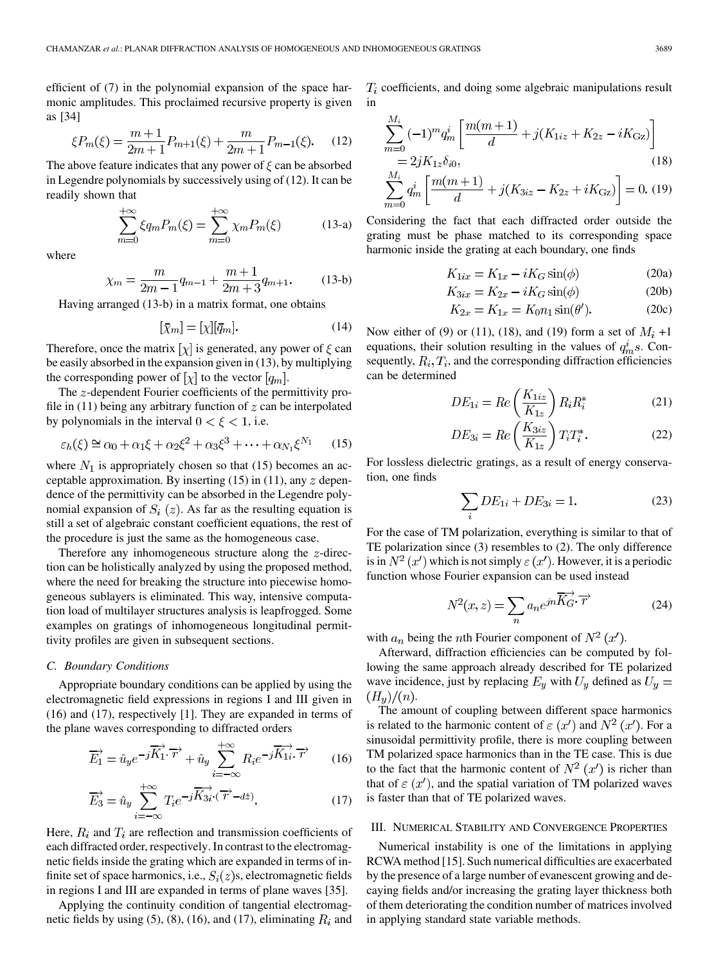efficient of (7) in the polynomial expansion of the space harmonic amplitudes. This proclaimed recursive property is given as [34]

$$
\xi P_m(\xi) = \frac{m+1}{2m+1} P_{m+1}(\xi) + \frac{m}{2m+1} P_{m-1}(\xi). \tag{12}
$$

The above feature indicates that any power of  $\xi$  can be absorbed in Legendre polynomials by successively using of (12). It can be readily shown that

$$
\sum_{m=0}^{+\infty} \xi q_m P_m(\xi) = \sum_{m=0}^{+\infty} \chi_m P_m(\xi) \tag{13-a}
$$

where

$$
\chi_m = \frac{m}{2m-1}q_{m-1} + \frac{m+1}{2m+3}q_{m+1}.
$$
 (13-b)

Having arranged (13-b) in a matrix format, one obtains

$$
[\bar{\chi}_m] = [\chi][\bar{q}_m].\tag{14}
$$

Therefore, once the matrix  $[\chi]$  is generated, any power of  $\xi$  can be easily absorbed in the expansion given in (13), by multiplying the corresponding power of  $[\chi]$  to the vector  $[q_m]$ .

The  $z$ -dependent Fourier coefficients of the permittivity profile in  $(11)$  being any arbitrary function of  $z$  can be interpolated by polynomials in the interval  $0 < \xi < 1$ , i.e.

$$
\varepsilon_h(\xi) \cong \alpha_0 + \alpha_1 \xi + \alpha_2 \xi^2 + \alpha_3 \xi^3 + \dots + \alpha_{N_1} \xi^{N_1} \tag{15}
$$

where  $N_1$  is appropriately chosen so that (15) becomes an acceptable approximation. By inserting  $(15)$  in  $(11)$ , any  $z$  dependence of the permittivity can be absorbed in the Legendre polynomial expansion of  $S_i(z)$ . As far as the resulting equation is still a set of algebraic constant coefficient equations, the rest of the procedure is just the same as the homogeneous case.

Therefore any inhomogeneous structure along the  $z$ -direction can be holistically analyzed by using the proposed method, where the need for breaking the structure into piecewise homogeneous sublayers is eliminated. This way, intensive computation load of multilayer structures analysis is leapfrogged. Some examples on gratings of inhomogeneous longitudinal permittivity profiles are given in subsequent sections.

## *C. Boundary Conditions*

Appropriate boundary conditions can be applied by using the electromagnetic field expressions in regions I and III given in (16) and (17), respectively [1]. They are expanded in terms of the plane waves corresponding to diffracted orders

$$
\overrightarrow{E_1} = \hat{u}_y e^{-j\overrightarrow{K_1} \cdot \overrightarrow{r}} + \hat{u}_y \sum_{i=-\infty}^{+\infty} R_i e^{-j\overrightarrow{K_{1i}} \cdot \overrightarrow{r}} \qquad (16)
$$

$$
\overrightarrow{E_3} = \hat{u}_y \sum_{i=-\infty}^{+\infty} T_i e^{-j\overrightarrow{K_{3i}} \cdot (\overrightarrow{r} - d\hat{z})}.
$$
 (17)

Here,  $R_i$  and  $T_i$  are reflection and transmission coefficients of each diffracted order, respectively. In contrast to the electromagnetic fields inside the grating which are expanded in terms of infinite set of space harmonics, i.e.,  $S_i(z)$ s, electromagnetic fields in regions I and III are expanded in terms of plane waves [35].

Applying the continuity condition of tangential electromagnetic fields by using (5), (8), (16), and (17), eliminating  $R_i$  and  $T<sub>i</sub>$  coefficients, and doing some algebraic manipulations result in

$$
\sum_{m=0}^{M_i} (-1)^m q_m^i \left[ \frac{m(m+1)}{d} + j(K_{1iz} + K_{2z} - iK_{\text{Gz}}) \right]
$$
  
=  $2jK_{1z}\delta_{i0}$ , (18)

$$
\sum_{m=0}^{M_i} q_m^i \left[ \frac{m(m+1)}{d} + j(K_{3iz} - K_{2z} + iK_{\text{Gz}}) \right] = 0. \tag{19}
$$

Considering the fact that each diffracted order outside the grating must be phase matched to its corresponding space harmonic inside the grating at each boundary, one finds

$$
K_{1ix} = K_{1x} - iK_G \sin(\phi) \tag{20a}
$$

$$
K_{3ix} = K_{2x} - iK_G \sin(\phi) \tag{20b}
$$

$$
K_{2x} = K_{1x} = K_0 n_1 \sin(\theta'). \tag{20c}
$$

Now either of (9) or (11), (18), and (19) form a set of  $M_i$  +1 equations, their solution resulting in the values of  $q_m^i$ s. Consequently,  $R_i, T_i$ , and the corresponding diffraction efficiencies can be determined

$$
DE_{1i} = Re\left(\frac{K_{1iz}}{K_{1z}}\right) R_i R_i^*
$$
\n(21)

$$
DE_{3i} = Re\left(\frac{K_{3iz}}{K_{1z}}\right)T_iT_i^*.
$$
 (22)

For lossless dielectric gratings, as a result of energy conservation, one finds

$$
\sum_{i} DE_{1i} + DE_{3i} = 1.
$$
 (23)

For the case of TM polarization, everything is similar to that of TE polarization since (3) resembles to (2). The only difference is in  $N^2(x')$  which is not simply  $\varepsilon(x')$ . However, it is a periodic function whose Fourier expansion can be used instead

$$
N^2(x,z) = \sum_n a_n e^{jn\overrightarrow{K_G} \cdot \overrightarrow{r}}
$$
 (24)

with  $a_n$  being the *n*th Fourier component of  $N^2(x')$ .

Afterward, diffraction efficiencies can be computed by following the same approach already described for TE polarized wave incidence, just by replacing  $E_y$  with  $U_y$  defined as  $U_y$  =  $(H_y)/(n).$ 

The amount of coupling between different space harmonics is related to the harmonic content of  $\varepsilon$  (x') and  $N^2$  (x'). For a sinusoidal permittivity profile, there is more coupling between TM polarized space harmonics than in the TE case. This is due to the fact that the harmonic content of  $N^2(x')$  is richer than that of  $\varepsilon$  (x'), and the spatial variation of TM polarized waves is faster than that of TE polarized waves.

#### III. NUMERICAL STABILITY AND CONVERGENCE PROPERTIES

Numerical instability is one of the limitations in applying RCWA method [15]. Such numerical difficulties are exacerbated by the presence of a large number of evanescent growing and decaying fields and/or increasing the grating layer thickness both of them deteriorating the condition number of matrices involved in applying standard state variable methods.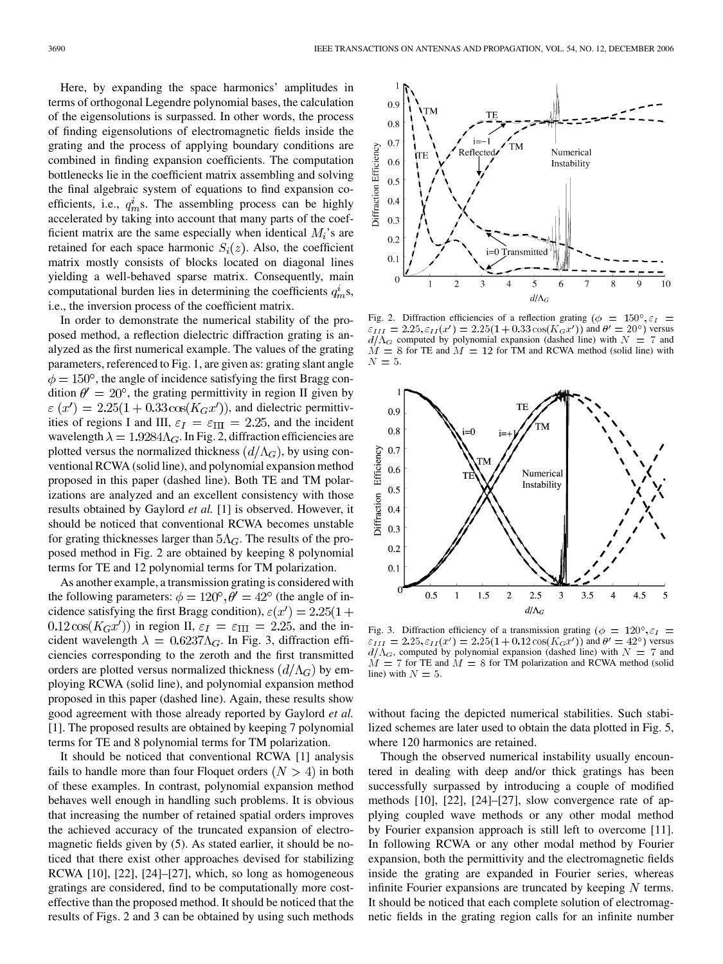Here, by expanding the space harmonics' amplitudes in terms of orthogonal Legendre polynomial bases, the calculation of the eigensolutions is surpassed. In other words, the process of finding eigensolutions of electromagnetic fields inside the grating and the process of applying boundary conditions are combined in finding expansion coefficients. The computation bottlenecks lie in the coefficient matrix assembling and solving the final algebraic system of equations to find expansion coefficients, i.e.,  $q_m^i$ s. The assembling process can be highly accelerated by taking into account that many parts of the coefficient matrix are the same especially when identical  $M_i$ 's are retained for each space harmonic  $S_i(z)$ . Also, the coefficient matrix mostly consists of blocks located on diagonal lines yielding a well-behaved sparse matrix. Consequently, main computational burden lies in determining the coefficients  $q_m^i$ s, i.e., the inversion process of the coefficient matrix.

In order to demonstrate the numerical stability of the proposed method, a reflection dielectric diffraction grating is analyzed as the first numerical example. The values of the grating parameters, referenced to Fig. 1, are given as: grating slant angle  $\phi = 150^{\circ}$ , the angle of incidence satisfying the first Bragg condition  $\theta' = 20^{\circ}$ , the grating permittivity in region II given by  $\varepsilon$   $(x') = 2.25(1 + 0.33 \cos(K_G x'))$ , and dielectric permittivities of regions I and III,  $\varepsilon_I = \varepsilon_{III} = 2.25$ , and the incident wavelength  $\lambda = 1.9284 \Lambda_G$ . In Fig. 2, diffraction efficiencies are plotted versus the normalized thickness  $(d/\Lambda_G)$ , by using conventional RCWA (solid line), and polynomial expansion method proposed in this paper (dashed line). Both TE and TM polarizations are analyzed and an excellent consistency with those results obtained by Gaylord *et al.* [1] is observed. However, it should be noticed that conventional RCWA becomes unstable for grating thicknesses larger than  $5\Lambda_G$ . The results of the proposed method in Fig. 2 are obtained by keeping 8 polynomial terms for TE and 12 polynomial terms for TM polarization.

As another example, a transmission grating is considered with the following parameters:  $\phi = 120^{\circ}$ ,  $\theta' = 42^{\circ}$  (the angle of incidence satisfying the first Bragg condition),  $\varepsilon(x') = 2.25(1 +$  $0.12 \cos(K_G x')$  in region II,  $\varepsilon_I = \varepsilon_{\text{III}} = 2.25$ , and the incident wavelength  $\lambda = 0.6237 \Lambda_G$ . In Fig. 3, diffraction efficiencies corresponding to the zeroth and the first transmitted orders are plotted versus normalized thickness  $(d/\Lambda_G)$  by employing RCWA (solid line), and polynomial expansion method proposed in this paper (dashed line). Again, these results show good agreement with those already reported by Gaylord *et al.* [1]. The proposed results are obtained by keeping 7 polynomial terms for TE and 8 polynomial terms for TM polarization.

It should be noticed that conventional RCWA [1] analysis fails to handle more than four Floquet orders  $(N > 4)$  in both of these examples. In contrast, polynomial expansion method behaves well enough in handling such problems. It is obvious that increasing the number of retained spatial orders improves the achieved accuracy of the truncated expansion of electromagnetic fields given by (5). As stated earlier, it should be noticed that there exist other approaches devised for stabilizing RCWA [10], [22], [24]–[27], which, so long as homogeneous gratings are considered, find to be computationally more costeffective than the proposed method. It should be noticed that the results of Figs. 2 and 3 can be obtained by using such methods



Fig. 2. Diffraction efficiencies of a reflection grating ( $\phi = 150^{\circ}$ ,  $\varepsilon_I =$ and  $\theta' = 20^{\circ}$ ) versus computed by polynomial expansion (dashed line) with  $N = 7$  and  $\dot{M} = 8$  for TE and  $\dot{M} = 12$  for TM and RCWA method (solid line) with  $N=5$ .



Fig. 3. Diffraction efficiency of a transmission grating ( $\phi = 120^{\circ}, \varepsilon_I =$  $\varepsilon_{III} = 2.25, \varepsilon_{II}(x') = 2.25(1 + 0.12\cos(K_G x'))$  and  $\theta' = 42^{\circ}$ ) versus  $d/\Lambda_G$ , computed by polynomial expansion (dashed line) with  $N = 7$  and  $M = 7$  for TE and  $M = 8$  for TM polarization and RCWA method (solid line) with  $N = 5$ .

without facing the depicted numerical stabilities. Such stabilized schemes are later used to obtain the data plotted in Fig. 5, where 120 harmonics are retained.

Though the observed numerical instability usually encountered in dealing with deep and/or thick gratings has been successfully surpassed by introducing a couple of modified methods [10], [22], [24]–[27], slow convergence rate of applying coupled wave methods or any other modal method by Fourier expansion approach is still left to overcome [11]. In following RCWA or any other modal method by Fourier expansion, both the permittivity and the electromagnetic fields inside the grating are expanded in Fourier series, whereas infinite Fourier expansions are truncated by keeping  $N$  terms. It should be noticed that each complete solution of electromagnetic fields in the grating region calls for an infinite number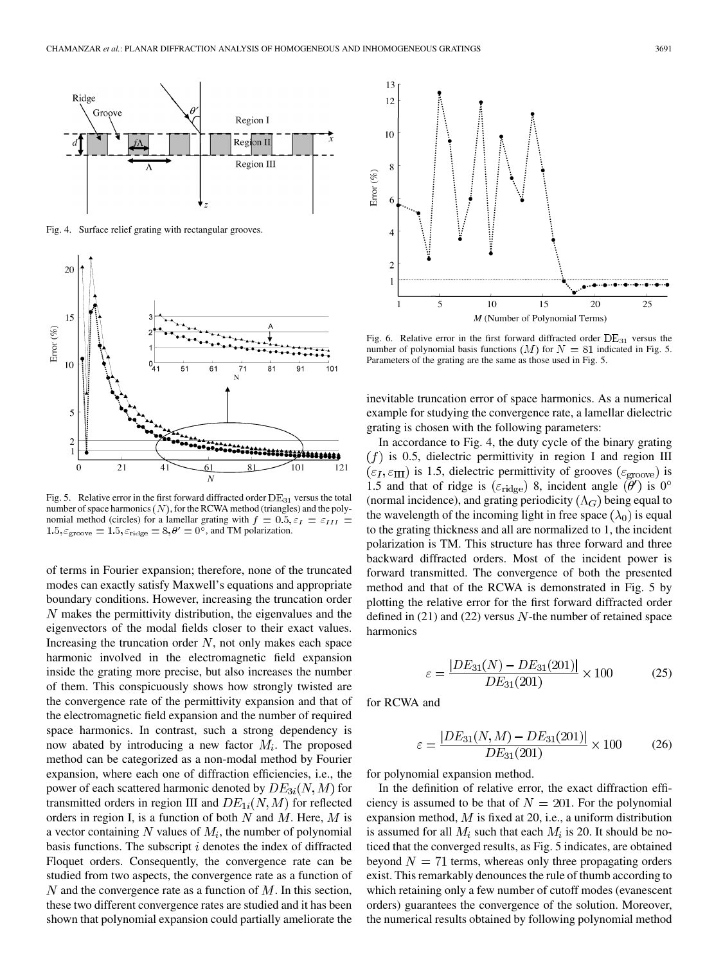

Fig. 4. Surface relief grating with rectangular grooves.



Fig. 5. Relative error in the first forward diffracted order  $DE_{31}$  versus the total number of space harmonics  $(N)$ , for the RCWA method (triangles) and the polynomial method (circles) for a lamellar grating with  $f = 0.5$ ,  $\varepsilon_I = \varepsilon_{III}$  $1.5, \varepsilon_{\text{groove}} = 1.5, \varepsilon_{\text{ridge}} = 8, \theta' = 0^{\delta}$ , and TM polarization.

of terms in Fourier expansion; therefore, none of the truncated modes can exactly satisfy Maxwell's equations and appropriate boundary conditions. However, increasing the truncation order  $N$  makes the permittivity distribution, the eigenvalues and the eigenvectors of the modal fields closer to their exact values. Increasing the truncation order  $N$ , not only makes each space harmonic involved in the electromagnetic field expansion inside the grating more precise, but also increases the number of them. This conspicuously shows how strongly twisted are the convergence rate of the permittivity expansion and that of the electromagnetic field expansion and the number of required space harmonics. In contrast, such a strong dependency is now abated by introducing a new factor  $M_i$ . The proposed method can be categorized as a non-modal method by Fourier expansion, where each one of diffraction efficiencies, i.e., the power of each scattered harmonic denoted by  $DE_{3i}(N, M)$  for transmitted orders in region III and  $DE_{1i}(N, M)$  for reflected orders in region I, is a function of both  $N$  and  $M$ . Here,  $M$  is a vector containing N values of  $M_i$ , the number of polynomial basis functions. The subscript  $i$  denotes the index of diffracted Floquet orders. Consequently, the convergence rate can be studied from two aspects, the convergence rate as a function of  $N$  and the convergence rate as a function of  $M$ . In this section, these two different convergence rates are studied and it has been shown that polynomial expansion could partially ameliorate the



Fig. 6. Relative error in the first forward diffracted order  $DE_{31}$  versus the number of polynomial basis functions  $(M)$  for  $N = 81$  indicated in Fig. 5. Parameters of the grating are the same as those used in Fig. 5.

inevitable truncation error of space harmonics. As a numerical example for studying the convergence rate, a lamellar dielectric grating is chosen with the following parameters:

In accordance to Fig. 4, the duty cycle of the binary grating  $(f)$  is 0.5, dielectric permittivity in region I and region III  $(\varepsilon_I, \varepsilon_{\text{III}})$  is 1.5, dielectric permittivity of grooves  $(\varepsilon_{\text{groove}})$  is 1.5 and that of ridge is ( $\varepsilon_{\text{ridge}}$ ) 8, incident angle  $(\theta')$  is 0° (normal incidence), and grating periodicity  $(\Lambda_G)$  being equal to the wavelength of the incoming light in free space  $(\lambda_0)$  is equal to the grating thickness and all are normalized to 1, the incident polarization is TM. This structure has three forward and three backward diffracted orders. Most of the incident power is forward transmitted. The convergence of both the presented method and that of the RCWA is demonstrated in Fig. 5 by plotting the relative error for the first forward diffracted order defined in  $(21)$  and  $(22)$  versus N-the number of retained space harmonics

$$
\varepsilon = \frac{|DE_{31}(N) - DE_{31}(201)|}{DE_{31}(201)} \times 100\tag{25}
$$

for RCWA and

$$
\varepsilon = \frac{|DE_{31}(N, M) - DE_{31}(201)|}{DE_{31}(201)} \times 100 \tag{26}
$$

for polynomial expansion method.

In the definition of relative error, the exact diffraction efficiency is assumed to be that of  $N = 201$ . For the polynomial expansion method,  $M$  is fixed at 20, i.e., a uniform distribution is assumed for all  $M_i$  such that each  $M_i$  is 20. It should be noticed that the converged results, as Fig. 5 indicates, are obtained beyond  $N = 71$  terms, whereas only three propagating orders exist. This remarkably denounces the rule of thumb according to which retaining only a few number of cutoff modes (evanescent orders) guarantees the convergence of the solution. Moreover, the numerical results obtained by following polynomial method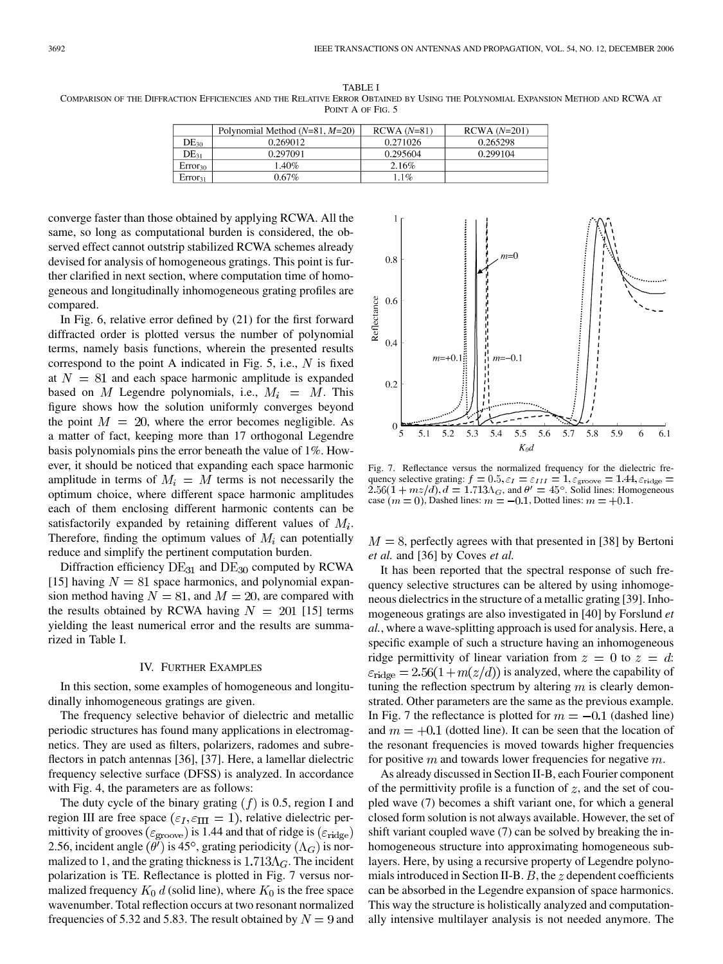TABLE I COMPARISON OF THE DIFFRACTION EFFICIENCIES AND THE RELATIVE ERROR OBTAINED BY USING THE POLYNOMIAL EXPANSION METHOD AND RCWA AT POINT A OF FIG. 5

|                     | Polynomial Method $(N=81, M=20)$ | $RCWA (N=81)$ | $RCWA(N=201)$ |
|---------------------|----------------------------------|---------------|---------------|
| $DE_{30}$           | 0.269012                         | 0.271026      | 0.265298      |
| $DE_{31}$           | 0.297091                         | 0.295604      | 0.299104      |
| $Error_{30}$        | .40%                             | 2.16%         |               |
| Error <sub>31</sub> | $0.67\%$                         | 1%            |               |

converge faster than those obtained by applying RCWA. All the same, so long as computational burden is considered, the observed effect cannot outstrip stabilized RCWA schemes already devised for analysis of homogeneous gratings. This point is further clarified in next section, where computation time of homogeneous and longitudinally inhomogeneous grating profiles are compared.

In Fig. 6, relative error defined by (21) for the first forward diffracted order is plotted versus the number of polynomial terms, namely basis functions, wherein the presented results correspond to the point A indicated in Fig. 5, i.e.,  $N$  is fixed at  $N = 81$  and each space harmonic amplitude is expanded based on M Legendre polynomials, i.e.,  $M_i = M$ . This figure shows how the solution uniformly converges beyond the point  $M = 20$ , where the error becomes negligible. As a matter of fact, keeping more than 17 orthogonal Legendre basis polynomials pins the error beneath the value of 1%. However, it should be noticed that expanding each space harmonic amplitude in terms of  $M_i = M$  terms is not necessarily the optimum choice, where different space harmonic amplitudes each of them enclosing different harmonic contents can be satisfactorily expanded by retaining different values of  $M_i$ . Therefore, finding the optimum values of  $M_i$  can potentially reduce and simplify the pertinent computation burden.

Diffraction efficiency  $DE_{31}$  and  $DE_{30}$  computed by RCWA [15] having  $N = 81$  space harmonics, and polynomial expansion method having  $N = 81$ , and  $M = 20$ , are compared with the results obtained by RCWA having  $N = 201$  [15] terms yielding the least numerical error and the results are summarized in Table I.

## IV. FURTHER EXAMPLES

In this section, some examples of homogeneous and longitudinally inhomogeneous gratings are given.

The frequency selective behavior of dielectric and metallic periodic structures has found many applications in electromagnetics. They are used as filters, polarizers, radomes and subreflectors in patch antennas [36], [37]. Here, a lamellar dielectric frequency selective surface (DFSS) is analyzed. In accordance with Fig. 4, the parameters are as follows:

The duty cycle of the binary grating  $(f)$  is 0.5, region I and region III are free space ( $\varepsilon_I$ ,  $\varepsilon_{\text{III}} = 1$ ), relative dielectric permittivity of grooves ( $\varepsilon_{\text{groove}}$ ) is 1.44 and that of ridge is ( $\varepsilon_{\text{ridge}}$ ) 2.56, incident angle  $(\theta')$  is 45°, grating periodicity  $(\Lambda_G)$  is normalized to 1, and the grating thickness is  $1.713\Lambda$ <sub>G</sub>. The incident polarization is TE. Reflectance is plotted in Fig. 7 versus normalized frequency  $K_0 d$  (solid line), where  $K_0$  is the free space wavenumber. Total reflection occurs at two resonant normalized frequencies of 5.32 and 5.83. The result obtained by  $N = 9$  and

 $0.8$  $0.6$ Reflectance  $0.4$  $m=+0.1\frac{3}{12}$  $m=-0.1$  $0.2$ 5.4 5.5 5.6 5.8  $5.1$ 5.2 5.3 5.7 5.9  $6.1$  $K_0d$ 

Fig. 7. Reflectance versus the normalized frequency for the dielectric frequency selective grating: , and  $\theta' = 45^{\circ}$ . Solid lines: Homogeneous case  $(m = 0)$ , Dashed lines:  $m = -0.1$ , Dotted lines:  $m = +0.1$ .

 $M = 8$ , perfectly agrees with that presented in [38] by Bertoni *et al.* and [36] by Coves *et al.*

It has been reported that the spectral response of such frequency selective structures can be altered by using inhomogeneous dielectrics in the structure of a metallic grating [39]. Inhomogeneous gratings are also investigated in [40] by Forslund *et al.*, where a wave-splitting approach is used for analysis. Here, a specific example of such a structure having an inhomogeneous ridge permittivity of linear variation from  $z = 0$  to  $z = d$ .  $\varepsilon_{\text{ridge}} = 2.56(1 + m(z/d))$  is analyzed, where the capability of tuning the reflection spectrum by altering  $m$  is clearly demonstrated. Other parameters are the same as the previous example. In Fig. 7 the reflectance is plotted for  $m = -0.1$  (dashed line) and  $m = +0.1$  (dotted line). It can be seen that the location of the resonant frequencies is moved towards higher frequencies for positive  $m$  and towards lower frequencies for negative  $m$ .

As already discussed in Section II-B, each Fourier component of the permittivity profile is a function of  $z$ , and the set of coupled wave (7) becomes a shift variant one, for which a general closed form solution is not always available. However, the set of shift variant coupled wave (7) can be solved by breaking the inhomogeneous structure into approximating homogeneous sublayers. Here, by using a recursive property of Legendre polynomials introduced in Section II-B.  $B$ , the  $z$  dependent coefficients can be absorbed in the Legendre expansion of space harmonics. This way the structure is holistically analyzed and computationally intensive multilayer analysis is not needed anymore. The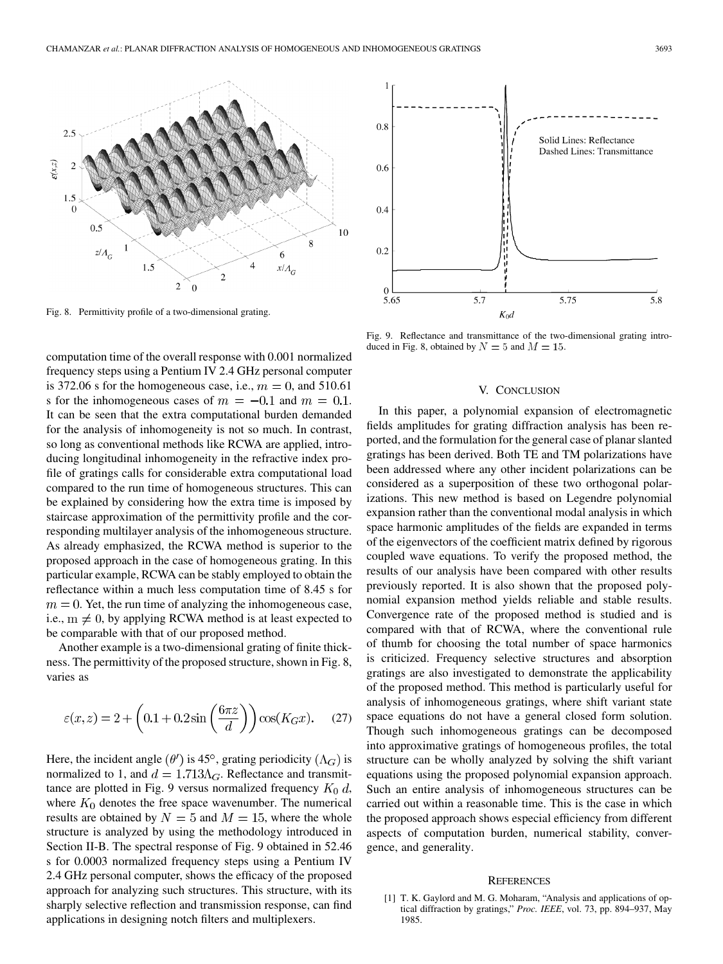

Fig. 8. Permittivity profile of a two-dimensional grating.

computation time of the overall response with 0.001 normalized frequency steps using a Pentium IV 2.4 GHz personal computer is 372.06 s for the homogeneous case, i.e.,  $m = 0$ , and 510.61 s for the inhomogeneous cases of  $m = -0.1$  and  $m = 0.1$ . It can be seen that the extra computational burden demanded for the analysis of inhomogeneity is not so much. In contrast, so long as conventional methods like RCWA are applied, introducing longitudinal inhomogeneity in the refractive index profile of gratings calls for considerable extra computational load compared to the run time of homogeneous structures. This can be explained by considering how the extra time is imposed by staircase approximation of the permittivity profile and the corresponding multilayer analysis of the inhomogeneous structure. As already emphasized, the RCWA method is superior to the proposed approach in the case of homogeneous grating. In this particular example, RCWA can be stably employed to obtain the reflectance within a much less computation time of 8.45 s for  $m = 0$ . Yet, the run time of analyzing the inhomogeneous case, i.e.,  $m \neq 0$ , by applying RCWA method is at least expected to be comparable with that of our proposed method.

Another example is a two-dimensional grating of finite thickness. The permittivity of the proposed structure, shown in Fig. 8, varies as

$$
\varepsilon(x,z) = 2 + \left(0.1 + 0.2\sin\left(\frac{6\pi z}{d}\right)\right)\cos(K_G x). \tag{27}
$$

Here, the incident angle  $(\theta')$  is 45°, grating periodicity  $(\Lambda_G)$  is normalized to 1, and  $d = 1.713\Lambda_G$ . Reflectance and transmittance are plotted in Fig. 9 versus normalized frequency  $K_0$  d, where  $K_0$  denotes the free space wavenumber. The numerical results are obtained by  $N = 5$  and  $M = 15$ , where the whole structure is analyzed by using the methodology introduced in Section II-B. The spectral response of Fig. 9 obtained in 52.46 s for 0.0003 normalized frequency steps using a Pentium IV 2.4 GHz personal computer, shows the efficacy of the proposed approach for analyzing such structures. This structure, with its sharply selective reflection and transmission response, can find applications in designing notch filters and multiplexers.



Fig. 9. Reflectance and transmittance of the two-dimensional grating introduced in Fig. 8, obtained by  $N = 5$  and  $M = 15$ .

#### V. CONCLUSION

In this paper, a polynomial expansion of electromagnetic fields amplitudes for grating diffraction analysis has been reported, and the formulation for the general case of planar slanted gratings has been derived. Both TE and TM polarizations have been addressed where any other incident polarizations can be considered as a superposition of these two orthogonal polarizations. This new method is based on Legendre polynomial expansion rather than the conventional modal analysis in which space harmonic amplitudes of the fields are expanded in terms of the eigenvectors of the coefficient matrix defined by rigorous coupled wave equations. To verify the proposed method, the results of our analysis have been compared with other results previously reported. It is also shown that the proposed polynomial expansion method yields reliable and stable results. Convergence rate of the proposed method is studied and is compared with that of RCWA, where the conventional rule of thumb for choosing the total number of space harmonics is criticized. Frequency selective structures and absorption gratings are also investigated to demonstrate the applicability of the proposed method. This method is particularly useful for analysis of inhomogeneous gratings, where shift variant state space equations do not have a general closed form solution. Though such inhomogeneous gratings can be decomposed into approximative gratings of homogeneous profiles, the total structure can be wholly analyzed by solving the shift variant equations using the proposed polynomial expansion approach. Such an entire analysis of inhomogeneous structures can be carried out within a reasonable time. This is the case in which the proposed approach shows especial efficiency from different aspects of computation burden, numerical stability, convergence, and generality.

#### **REFERENCES**

[1] T. K. Gaylord and M. G. Moharam, "Analysis and applications of optical diffraction by gratings," *Proc. IEEE*, vol. 73, pp. 894–937, May 1985.